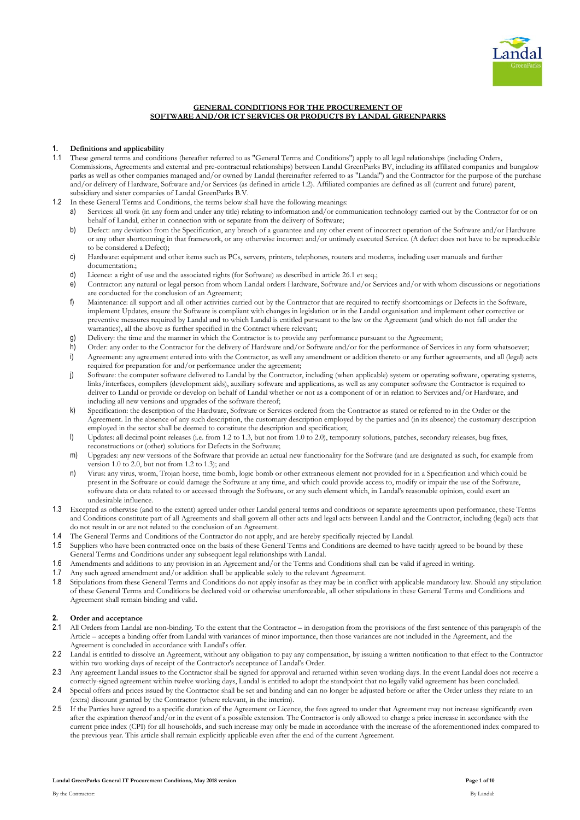

# **GENERAL CONDITIONS FOR THE PROCUREMENT OF SOFTWARE AND/OR ICT SERVICES OR PRODUCTS BY LANDAL GREENPARKS**

## **1. Definitions and applicability**

- 1.1 These general terms and conditions (hereafter referred to as "General Terms and Conditions") apply to all legal relationships (including Orders, Commissions, Agreements and external and pre-contractual relationships) between Landal GreenParks BV, including its affiliated companies and bungalow parks as well as other companies managed and/or owned by Landal (hereinafter referred to as "Landal") and the Contractor for the purpose of the purchase and/or delivery of Hardware, Software and/or Services (as defined in article [1.2\)](#page-0-0). Affiliated companies are defined as all (current and future) parent, subsidiary and sister companies of Landal GreenParks B.V.
- <span id="page-0-0"></span>In these General Terms and Conditions, the terms below shall have the following meanings:
	- a) Services: all work (in any form and under any title) relating to information and/or communication technology carried out by the Contractor for or on behalf of Landal, either in connection with or separate from the delivery of Software;
	- b) Defect: any deviation from the Specification, any breach of a guarantee and any other event of incorrect operation of the Software and/or Hardware or any other shortcoming in that framework, or any otherwise incorrect and/or untimely executed Service. (A defect does not have to be reproducible to be considered a Defect);
	- c) Hardware: equipment and other items such as PCs, servers, printers, telephones, routers and modems, including user manuals and further documentation.;
	- d) Licence: a right of use and the associated rights (for Software) as described in article 26.1 et seq.;
	- e) Contractor: any natural or legal person from whom Landal orders Hardware, Software and/or Services and/or with whom discussions or negotiations are conducted for the conclusion of an Agreement;
	- f) Maintenance: all support and all other activities carried out by the Contractor that are required to rectify shortcomings or Defects in the Software, implement Updates, ensure the Software is compliant with changes in legislation or in the Landal organisation and implement other corrective or preventive measures required by Landal and to which Landal is entitled pursuant to the law or the Agreement (and which do not fall under the warranties), all the above as further specified in the Contract where relevant;
	- g) Delivery: the time and the manner in which the Contractor is to provide any performance pursuant to the Agreement;
	- h) Order: any order to the Contractor for the delivery of Hardware and/or Software and/or for the performance of Services in any form whatsoever;
	- i) Agreement: any agreement entered into with the Contractor, as well any amendment or addition thereto or any further agreements, and all (legal) acts required for preparation for and/or performance under the agreement;
	- j) Software: the computer software delivered to Landal by the Contractor, including (when applicable) system or operating software, operating systems, links/interfaces, compilers (development aids), auxiliary software and applications, as well as any computer software the Contractor is required to deliver to Landal or provide or develop on behalf of Landal whether or not as a component of or in relation to Services and/or Hardware, and including all new versions and upgrades of the software thereof;
	- k) Specification: the description of the Hardware, Software or Services ordered from the Contractor as stated or referred to in the Order or the Agreement. In the absence of any such description, the customary description employed by the parties and (in its absence) the customary description employed in the sector shall be deemed to constitute the description and specification;
	- l) Updates: all decimal point releases (i.e. from 1.2 to 1.3, but not from 1.0 to 2.0), temporary solutions, patches, secondary releases, bug fixes, reconstructions or (other) solutions for Defects in the Software;
	- m) Upgrades: any new versions of the Software that provide an actual new functionality for the Software (and are designated as such, for example from version 1.0 to 2.0, but not from 1.2 to 1.3); and
	- n) Virus: any virus, worm, Trojan horse, time bomb, logic bomb or other extraneous element not provided for in a Specification and which could be present in the Software or could damage the Software at any time, and which could provide access to, modify or impair the use of the Software, software data or data related to or accessed through the Software, or any such element which, in Landal's reasonable opinion, could exert an undesirable influence.
- 1.3 Excepted as otherwise (and to the extent) agreed under other Landal general terms and conditions or separate agreements upon performance, these Terms and Conditions constitute part of all Agreements and shall govern all other acts and legal acts between Landal and the Contractor, including (legal) acts that do not result in or are not related to the conclusion of an Agreement.
- 1.4 The General Terms and Conditions of the Contractor do not apply, and are hereby specifically rejected by Landal.
- 1.5 Suppliers who have been contracted once on the basis of these General Terms and Conditions are deemed to have tacitly agreed to be bound by these General Terms and Conditions under any subsequent legal relationships with Landal.
- 1.6 Amendments and additions to any provision in an Agreement and/or the Terms and Conditions shall can be valid if agreed in writing.
- 1.7 Any such agreed amendment and/or addition shall be applicable solely to the relevant Agreement.
- 1.8 Stipulations from these General Terms and Conditions do not apply insofar as they may be in conflict with applicable mandatory law. Should any stipulation of these General Terms and Conditions be declared void or otherwise unenforceable, all other stipulations in these General Terms and Conditions and Agreement shall remain binding and valid.

## **2. Order and acceptance**

- 2.1 All Orders from Landal are non-binding. To the extent that the Contractor in derogation from the provisions of the first sentence of this paragraph of the Article – accepts a binding offer from Landal with variances of minor importance, then those variances are not included in the Agreement, and the Agreement is concluded in accordance with Landal's offer.
- 2.2 Landal is entitled to dissolve an Agreement, without any obligation to pay any compensation, by issuing a written notification to that effect to the Contractor within two working days of receipt of the Contractor's acceptance of Landal's Order.
- 2.3 Any agreement Landal issues to the Contractor shall be signed for approval and returned within seven working days. In the event Landal does not receive a correctly-signed agreement within twelve working days, Landal is entitled to adopt the standpoint that no legally valid agreement has been concluded.
- 2.4 Special offers and prices issued by the Contractor shall be set and binding and can no longer be adjusted before or after the Order unless they relate to an (extra) discount granted by the Contractor (where relevant, in the interim).
- 2.5 If the Parties have agreed to a specific duration of the Agreement or Licence, the fees agreed to under that Agreement may not increase significantly even after the expiration thereof and/or in the event of a possible extension. The Contractor is only allowed to charge a price increase in accordance with the current price index (CPI) for all households, and such increase may only be made in accordance with the increase of the aforementioned index compared to the previous year. This article shall remain explicitly applicable even after the end of the current Agreement.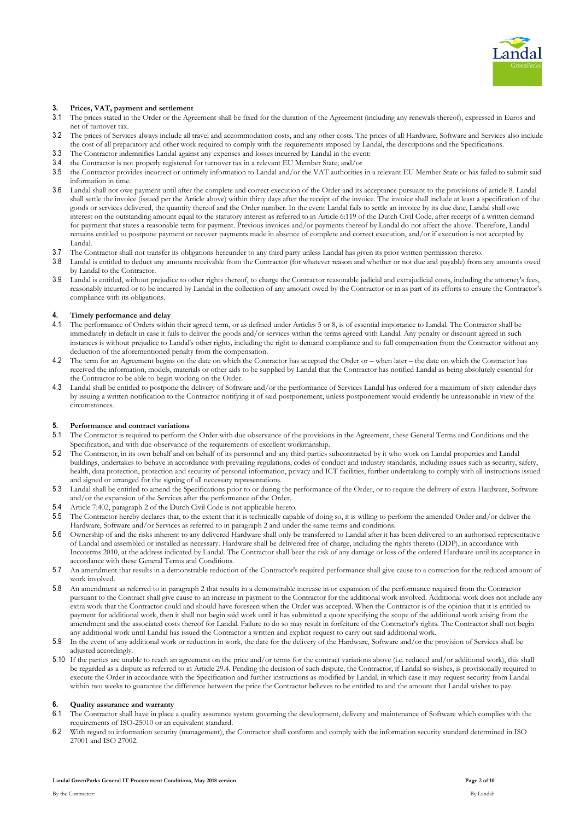

### **3. Prices, VAT, payment and settlement**

- 3.1 The prices stated in the Order or the Agreement shall be fixed for the duration of the Agreement (including any renewals thereof), expressed in Euros and net of turnover tax.
- 3.2 The prices of Services always include all travel and accommodation costs, and any other costs. The prices of all Hardware, Software and Services also include the cost of all preparatory and other work required to comply with the requirements imposed by Landal, the descriptions and the Specifications.
- 3.3 The Contractor indemnifies Landal against any expenses and losses incurred by Landal in the event:
- 3.4 the Contractor is not properly registered for turnover tax in a relevant EU Member State; and/or
- 3.5 the Contractor provides incorrect or untimely information to Landal and/or the VAT authorities in a relevant EU Member State or has failed to submit said information in time.
- 3.6 Landal shall not owe payment until after the complete and correct execution of the Order and its acceptance pursuant to the provisions of article 8. Landal shall settle the invoice (issued per the Article above) within thirty days after the receipt of the invoice. The invoice shall include at least a specification of the goods or services delivered, the quantity thereof and the Order number. In the event Landal fails to settle an invoice by its due date, Landal shall owe interest on the outstanding amount equal to the statutory interest as referred to in Article 6:119 of the Dutch Civil Code, after receipt of a written demand for payment that states a reasonable term for payment. Previous invoices and/or payments thereof by Landal do not affect the above. Therefore, Landal remains entitled to postpone payment or recover payments made in absence of complete and correct execution, and/or if execution is not accepted by Landal.
- 3.7 The Contractor shall not transfer its obligations hereunder to any third party unless Landal has given its prior written permission thereto.
- 3.8 Landal is entitled to deduct any amounts receivable from the Contractor (for whatever reason and whether or not due and payable) from any amounts owed by Landal to the Contractor.
- 3.9 Landal is entitled, without prejudice to other rights thereof, to charge the Contractor reasonable judicial and extrajudicial costs, including the attorney's fees, reasonably incurred or to be incurred by Landal in the collection of any amount owed by the Contractor or in as part of its efforts to ensure the Contractor's compliance with its obligations.

### **4. Timely performance and delay**

- 4.1 The performance of Orders within their agreed term, or as defined under Articles 5 or 8, is of essential importance to Landal. The Contractor shall be immediately in default in case it fails to deliver the goods and/or services within the terms agreed with Landal. Any penalty or discount agreed in such instances is without prejudice to Landal's other rights, including the right to demand compliance and to full compensation from the Contractor without any deduction of the aforementioned penalty from the compensation.
- 4.2 The term for an Agreement begins on the date on which the Contractor has accepted the Order or when later the date on which the Contractor has received the information, models, materials or other aids to be supplied by Landal that the Contractor has notified Landal as being absolutely essential for the Contractor to be able to begin working on the Order.
- 4.3 Landal shall be entitled to postpone the delivery of Software and/or the performance of Services Landal has ordered for a maximum of sixty calendar days by issuing a written notification to the Contractor notifying it of said postponement, unless postponement would evidently be unreasonable in view of the circumstances.

#### **5. Performance and contract variations**

- 5.1 The Contractor is required to perform the Order with due observance of the provisions in the Agreement, these General Terms and Conditions and the Specification, and with due observance of the requirements of excellent workmanship.
- 5.2 The Contractor, in its own behalf and on behalf of its personnel and any third parties subcontracted by it who work on Landal properties and Landal buildings, undertakes to behave in accordance with prevailing regulations, codes of conduct and industry standards, including issues such as security, safety, health, data protection, protection and security of personal information, privacy and ICT facilities, further undertaking to comply with all instructions issued and signed or arranged for the signing of all necessary representations.
- 5.3 Landal shall be entitled to amend the Specifications prior to or during the performance of the Order, or to require the delivery of extra Hardware, Software and/or the expansion of the Services after the performance of the Order.
- 5.4 Article 7:402, paragraph 2 of the Dutch Civil Code is not applicable hereto.
- 5.5 The Contractor hereby declares that, to the extent that it is technically capable of doing so, it is willing to perform the amended Order and/or deliver the Hardware, Software and/or Services as referred to in paragraph 2 and under the same terms and conditions.
- 5.6 Ownership of and the risks inherent to any delivered Hardware shall only be transferred to Landal after it has been delivered to an authorised representative of Landal and assembled or installed as necessary. Hardware shall be delivered free of charge, including the rights thereto (DDP), in accordance with Incoterms 2010, at the address indicated by Landal. The Contractor shall bear the risk of any damage or loss of the ordered Hardware until its acceptance in accordance with these General Terms and Conditions.
- 5.7 An amendment that results in a demonstrable reduction of the Contractor's required performance shall give cause to a correction for the reduced amount of work involved.
- 5.8 An amendment as referred to in paragraph 2 that results in a demonstrable increase in or expansion of the performance required from the Contractor pursuant to the Contract shall give cause to an increase in payment to the Contractor for the additional work involved. Additional work does not include any extra work that the Contractor could and should have foreseen when the Order was accepted. When the Contractor is of the opinion that it is entitled to payment for additional work, then it shall not begin said work until it has submitted a quote specifying the scope of the additional work arising from the amendment and the associated costs thereof for Landal. Failure to do so may result in forfeiture of the Contractor's rights. The Contractor shall not begin any additional work until Landal has issued the Contractor a written and explicit request to carry out said additional work.
- 5.9 In the event of any additional work or reduction in work, the date for the delivery of the Hardware, Software and/or the provision of Services shall be adjusted accordingly.
- 5.10 If the parties are unable to reach an agreement on the price and/or terms for the contract variations above (i.e. reduced and/or additional work), this shall be regarded as a dispute as referred to in Article 29.4. Pending the decision of such dispute, the Contractor, if Landal so wishes, is provisionally required to execute the Order in accordance with the Specification and further instructions as modified by Landal, in which case it may request security from Landal within two weeks to guarantee the difference between the price the Contractor believes to be entitled to and the amount that Landal wishes to pay.

#### **6. Quality assurance and warranty**

- 6.1 The Contractor shall have in place a quality assurance system governing the development, delivery and maintenance of Software which complies with the requirements of ISO-25010 or an equivalent standard.
- 6.2 With regard to information security (management), the Contractor shall conform and comply with the information security standard determined in ISO 27001 and ISO 27002.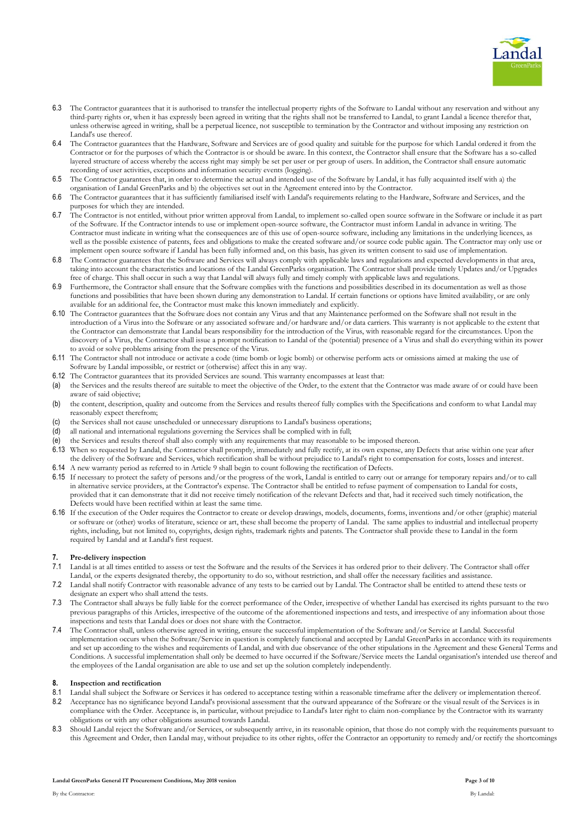

- 6.3 The Contractor guarantees that it is authorised to transfer the intellectual property rights of the Software to Landal without any reservation and without any third-party rights or, when it has expressly been agreed in writing that the rights shall not be transferred to Landal, to grant Landal a licence therefor that, unless otherwise agreed in writing, shall be a perpetual licence, not susceptible to termination by the Contractor and without imposing any restriction on Landal's use thereof.
- 6.4 The Contractor guarantees that the Hardware, Software and Services are of good quality and suitable for the purpose for which Landal ordered it from the Contractor or for the purposes of which the Contractor is or should be aware. In this context, the Contractor shall ensure that the Software has a so-called layered structure of access whereby the access right may simply be set per user or per group of users. In addition, the Contractor shall ensure automatic recording of user activities, exceptions and information security events (logging).
- 6.5 The Contractor guarantees that, in order to determine the actual and intended use of the Software by Landal, it has fully acquainted itself with a) the organisation of Landal GreenParks and b) the objectives set out in the Agreement entered into by the Contractor.
- 6.6 The Contractor guarantees that it has sufficiently familiarised itself with Landal's requirements relating to the Hardware, Software and Services, and the purposes for which they are intended.
- 6.7 The Contractor is not entitled, without prior written approval from Landal, to implement so-called open source software in the Software or include it as part of the Software. If the Contractor intends to use or implement open-source software, the Contractor must inform Landal in advance in writing. The Contractor must indicate in writing what the consequences are of this use of open-source software, including any limitations in the underlying licences, as well as the possible existence of patents, fees and obligations to make the created software and/or source code public again. The Contractor may only use or implement open source software if Landal has been fully informed and, on this basis, has given its written consent to said use of implementation.
- 6.8 The Contractor guarantees that the Software and Services will always comply with applicable laws and regulations and expected developments in that area, taking into account the characteristics and locations of the Landal GreenParks organisation. The Contractor shall provide timely Updates and/or Upgrades free of charge. This shall occur in such a way that Landal will always fully and timely comply with applicable laws and regulations.
- 6.9 Furthermore, the Contractor shall ensure that the Software complies with the functions and possibilities described in its documentation as well as those functions and possibilities that have been shown during any demonstration to Landal. If certain functions or options have limited availability, or are only available for an additional fee, the Contractor must make this known immediately and explicitly.
- 6.10 The Contractor guarantees that the Software does not contain any Virus and that any Maintenance performed on the Software shall not result in the introduction of a Virus into the Software or any associated software and/or hardware and/or data carriers. This warranty is not applicable to the extent that the Contractor can demonstrate that Landal bears responsibility for the introduction of the Virus, with reasonable regard for the circumstances. Upon the discovery of a Virus, the Contractor shall issue a prompt notification to Landal of the (potential) presence of a Virus and shall do everything within its power to avoid or solve problems arising from the presence of the Virus.
- 6.11 The Contractor shall not introduce or activate a code (time bomb or logic bomb) or otherwise perform acts or omissions aimed at making the use of Software by Landal impossible, or restrict or (otherwise) affect this in any way.
- 6.12 The Contractor guarantees that its provided Services are sound. This warranty encompasses at least that:
- (a) the Services and the results thereof are suitable to meet the objective of the Order, to the extent that the Contractor was made aware of or could have been aware of said objective;
- (b) the content, description, quality and outcome from the Services and results thereof fully complies with the Specifications and conform to what Landal may reasonably expect therefrom;
- (c) the Services shall not cause unscheduled or unnecessary disruptions to Landal's business operations;
- (d) all national and international regulations governing the Services shall be complied with in full;
- (e) the Services and results thereof shall also comply with any requirements that may reasonable to be imposed thereon.
- 6.13 When so requested by Landal, the Contractor shall promptly, immediately and fully rectify, at its own expense, any Defects that arise within one year after the delivery of the Software and Services, which rectification shall be without prejudice to Landal's right to compensation for costs, losses and interest.
- 6.14 A new warranty period as referred to in Article 9 shall begin to count following the rectification of Defects.
- 6.15 If necessary to protect the safety of persons and/or the progress of the work, Landal is entitled to carry out or arrange for temporary repairs and/or to call in alternative service providers, at the Contractor's expense. The Contractor shall be entitled to refuse payment of compensation to Landal for costs, provided that it can demonstrate that it did not receive timely notification of the relevant Defects and that, had it received such timely notification, the Defects would have been rectified within at least the same time.
- 6.16 If the execution of the Order requires the Contractor to create or develop drawings, models, documents, forms, inventions and/or other (graphic) material or software or (other) works of literature, science or art, these shall become the property of Landal. The same applies to industrial and intellectual property rights, including, but not limited to, copyrights, design rights, trademark rights and patents. The Contractor shall provide these to Landal in the form required by Landal and at Landal's first request.

# **7. Pre-delivery inspection**

- 7.1 Landal is at all times entitled to assess or test the Software and the results of the Services it has ordered prior to their delivery. The Contractor shall offer Landal, or the experts designated thereby, the opportunity to do so, without restriction, and shall offer the necessary facilities and assistance.
- 7.2 Landal shall notify Contractor with reasonable advance of any tests to be carried out by Landal. The Contractor shall be entitled to attend these tests or designate an expert who shall attend the tests.
- 7.3 The Contractor shall always be fully liable for the correct performance of the Order, irrespective of whether Landal has exercised its rights pursuant to the two previous paragraphs of this Articles, irrespective of the outcome of the aforementioned inspections and tests, and irrespective of any information about those inspections and tests that Landal does or does not share with the Contractor.
- 7.4 The Contractor shall, unless otherwise agreed in writing, ensure the successful implementation of the Software and/or Service at Landal. Successful implementation occurs when the Software/Service in question is completely functional and accepted by Landal GreenParks in accordance with its requirements and set up according to the wishes and requirements of Landal, and with due observance of the other stipulations in the Agreement and these General Terms and Conditions. A successful implementation shall only be deemed to have occurred if the Software/Service meets the Landal organisation's intended use thereof and the employees of the Landal organisation are able to use and set up the solution completely independently.

#### **8. Inspection and rectification**

- 8.1 Landal shall subject the Software or Services it has ordered to acceptance testing within a reasonable timeframe after the delivery or implementation thereof.
- 8.2 Acceptance has no significance beyond Landal's provisional assessment that the outward appearance of the Software or the visual result of the Services is in compliance with the Order. Acceptance is, in particular, without prejudice to Landal's later right to claim non-compliance by the Contractor with its warranty obligations or with any other obligations assumed towards Landal.
- 8.3 Should Landal reject the Software and/or Services, or subsequently arrive, in its reasonable opinion, that those do not comply with the requirements pursuant to this Agreement and Order, then Landal may, without prejudice to its other rights, offer the Contractor an opportunity to remedy and/or rectify the shortcomings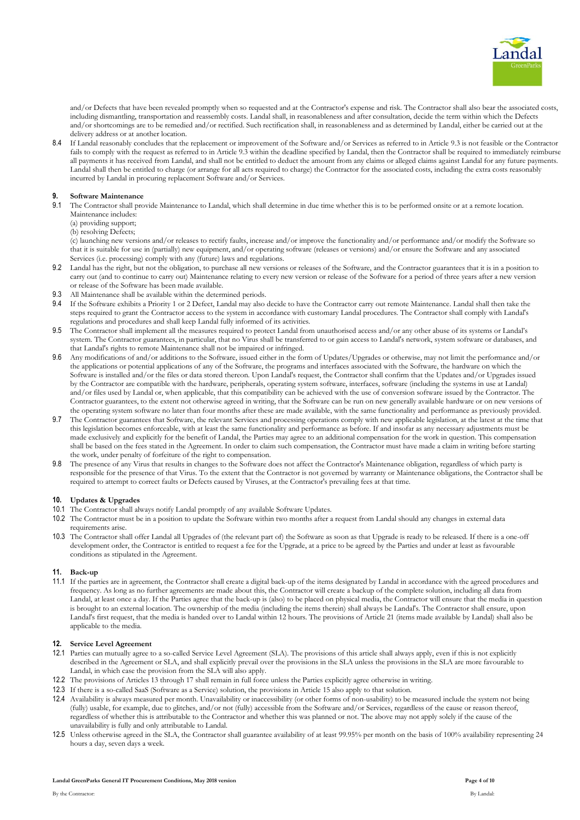

and/or Defects that have been revealed promptly when so requested and at the Contractor's expense and risk. The Contractor shall also bear the associated costs, including dismantling, transportation and reassembly costs. Landal shall, in reasonableness and after consultation, decide the term within which the Defects and/or shortcomings are to be remedied and/or rectified. Such rectification shall, in reasonableness and as determined by Landal, either be carried out at the delivery address or at another location.

8.4 If Landal reasonably concludes that the replacement or improvement of the Software and/or Services as referred to in Article 9.3 is not feasible or the Contractor fails to comply with the request as referred to in Article 9.3 within the deadline specified by Landal, then the Contractor shall be required to immediately reimburse all payments it has received from Landal, and shall not be entitled to deduct the amount from any claims or alleged claims against Landal for any future payments. Landal shall then be entitled to charge (or arrange for all acts required to charge) the Contractor for the associated costs, including the extra costs reasonably incurred by Landal in procuring replacement Software and/or Services.

### **9. Software Maintenance**

- 9.1 The Contractor shall provide Maintenance to Landal, which shall determine in due time whether this is to be performed onsite or at a remote location. Maintenance includes:
	- (a) providing support;
	- (b) resolving Defects;

(c) launching new versions and/or releases to rectify faults, increase and/or improve the functionality and/or performance and/or modify the Software so that it is suitable for use in (partially) new equipment, and/or operating software (releases or versions) and/or ensure the Software and any associated Services (i.e. processing) comply with any (future) laws and regulations.

- 9.2 Landal has the right, but not the obligation, to purchase all new versions or releases of the Software, and the Contractor guarantees that it is in a position to carry out (and to continue to carry out) Maintenance relating to every new version or release of the Software for a period of three years after a new version or release of the Software has been made available.
- 9.3 All Maintenance shall be available within the determined periods.
- 9.4 If the Software exhibits a Priority 1 or 2 Defect, Landal may also decide to have the Contractor carry out remote Maintenance. Landal shall then take the steps required to grant the Contractor access to the system in accordance with customary Landal procedures. The Contractor shall comply with Landal's regulations and procedures and shall keep Landal fully informed of its activities.
- 9.5 The Contractor shall implement all the measures required to protect Landal from unauthorised access and/or any other abuse of its systems or Landal's system. The Contractor guarantees, in particular, that no Virus shall be transferred to or gain access to Landal's network, system software or databases, and that Landal's rights to remote Maintenance shall not be impaired or infringed.
- 9.6 Any modifications of and/or additions to the Software, issued either in the form of Updates/Upgrades or otherwise, may not limit the performance and/or the applications or potential applications of any of the Software, the programs and interfaces associated with the Software, the hardware on which the Software is installed and/or the files or data stored thereon. Upon Landal's request, the Contractor shall confirm that the Updates and/or Upgrades issued by the Contractor are compatible with the hardware, peripherals, operating system software, interfaces, software (including the systems in use at Landal) and/or files used by Landal or, when applicable, that this compatibility can be achieved with the use of conversion software issued by the Contractor. The Contractor guarantees, to the extent not otherwise agreed in writing, that the Software can be run on new generally available hardware or on new versions of the operating system software no later than four months after these are made available, with the same functionality and performance as previously provided.
- 9.7 The Contractor guarantees that Software, the relevant Services and processing operations comply with new applicable legislation, at the latest at the time that this legislation becomes enforceable, with at least the same functionality and performance as before. If and insofar as any necessary adjustments must be made exclusively and explicitly for the benefit of Landal, the Parties may agree to an additional compensation for the work in question. This compensation shall be based on the fees stated in the Agreement. In order to claim such compensation, the Contractor must have made a claim in writing before starting the work, under penalty of forfeiture of the right to compensation.
- 9.8 The presence of any Virus that results in changes to the Software does not affect the Contractor's Maintenance obligation, regardless of which party is responsible for the presence of that Virus. To the extent that the Contractor is not governed by warranty or Maintenance obligations, the Contractor shall be required to attempt to correct faults or Defects caused by Viruses, at the Contractor's prevailing fees at that time.

## **10. Updates & Upgrades**

- 10.1 The Contractor shall always notify Landal promptly of any available Software Updates.
- 10.2 The Contractor must be in a position to update the Software within two months after a request from Landal should any changes in external data requirements arise.
- 10.3 The Contractor shall offer Landal all Upgrades of (the relevant part of) the Software as soon as that Upgrade is ready to be released. If there is a one-off development order, the Contractor is entitled to request a fee for the Upgrade, at a price to be agreed by the Parties and under at least as favourable conditions as stipulated in the Agreement.

## **11. Back-up**

11.1 If the parties are in agreement, the Contractor shall create a digital back-up of the items designated by Landal in accordance with the agreed procedures and frequency. As long as no further agreements are made about this, the Contractor will create a backup of the complete solution, including all data from Landal, at least once a day. If the Parties agree that the back-up is (also) to be placed on physical media, the Contractor will ensure that the media in question is brought to an external location. The ownership of the media (including the items therein) shall always be Landal's. The Contractor shall ensure, upon Landal's first request, that the media is handed over to Landal within 12 hours. The provisions of Article 21 (items made available by Landal) shall also be applicable to the media.

### **12. Service Level Agreement**

- 12.1 Parties can mutually agree to a so-called Service Level Agreement (SLA). The provisions of this article shall always apply, even if this is not explicitly described in the Agreement or SLA, and shall explicitly prevail over the provisions in the SLA unless the provisions in the SLA are more favourable to Landal, in which case the provision from the SLA will also apply.
- 12.2 The provisions of Articles 13 through 17 shall remain in full force unless the Parties explicitly agree otherwise in writing.
- 12.3 If there is a so-called SaaS (Software as a Service) solution, the provisions in Article 15 also apply to that solution.
- 12.4 Availability is always measured per month. Unavailability or inaccessibility (or other forms of non-usability) to be measured include the system not being (fully) usable, for example, due to glitches, and/or not (fully) accessible from the Software and/or Services, regardless of the cause or reason thereof, regardless of whether this is attributable to the Contractor and whether this was planned or not. The above may not apply solely if the cause of the unavailability is fully and only attributable to Landal.
- 12.5 Unless otherwise agreed in the SLA, the Contractor shall guarantee availability of at least 99.95% per month on the basis of 100% availability representing 24 hours a day, seven days a week.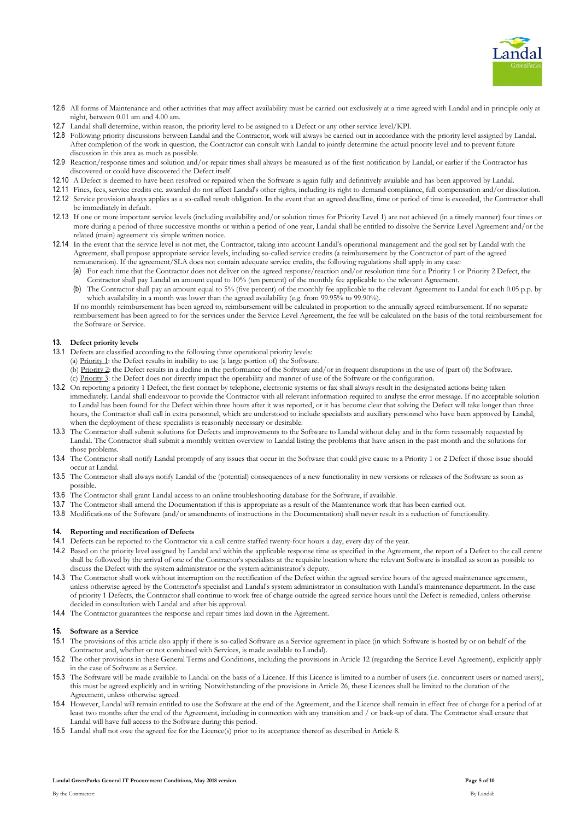

- 12.6 All forms of Maintenance and other activities that may affect availability must be carried out exclusively at a time agreed with Landal and in principle only at night, between 0.01 am and 4.00 am.
- 12.7 Landal shall determine, within reason, the priority level to be assigned to a Defect or any other service level/KPI.
- 12.8 Following priority discussions between Landal and the Contractor, work will always be carried out in accordance with the priority level assigned by Landal. After completion of the work in question, the Contractor can consult with Landal to jointly determine the actual priority level and to prevent future discussion in this area as much as possible.
- 12.9 Reaction/response times and solution and/or repair times shall always be measured as of the first notification by Landal, or earlier if the Contractor has discovered or could have discovered the Defect itself.
- 12.10 A Defect is deemed to have been resolved or repaired when the Software is again fully and definitively available and has been approved by Landal.
- 12.11 Fines, fees, service credits etc. awarded do not affect Landal's other rights, including its right to demand compliance, full compensation and/or dissolution.
- 12.12 Service provision always applies as a so-called result obligation. In the event that an agreed deadline, time or period of time is exceeded, the Contractor shall be immediately in default.
- 12.13 If one or more important service levels (including availability and/or solution times for Priority Level 1) are not achieved (in a timely manner) four times or more during a period of three successive months or within a period of one year, Landal shall be entitled to dissolve the Service Level Agreement and/or the related (main) agreement vis simple written notice.
- 12.14 In the event that the service level is not met, the Contractor, taking into account Landal's operational management and the goal set by Landal with the Agreement, shall propose appropriate service levels, including so-called service credits (a reimbursement by the Contractor of part of the agreed remuneration). If the agreement/SLA does not contain adequate service credits, the following regulations shall apply in any case:
	- (a) For each time that the Contractor does not deliver on the agreed response/reaction and/or resolution time for a Priority 1 or Priority 2 Defect, the Contractor shall pay Landal an amount equal to 10% (ten percent) of the monthly fee applicable to the relevant Agreement.
	- (b) The Contractor shall pay an amount equal to 5% (five percent) of the monthly fee applicable to the relevant Agreement to Landal for each 0.05 p.p. by which availability in a month was lower than the agreed availability (e.g. from 99.95% to 99.90%).

If no monthly reimbursement has been agreed to, reimbursement will be calculated in proportion to the annually agreed reimbursement. If no separate reimbursement has been agreed to for the services under the Service Level Agreement, the fee will be calculated on the basis of the total reimbursement for the Software or Service.

# **13. Defect priority levels**

- 13.1 Defects are classified according to the following three operational priority levels:
	- (a) Priority 1: the Defect results in inability to use (a large portion of) the Software.
		- (b) Priority 2: the Defect results in a decline in the performance of the Software and/or in frequent disruptions in the use of (part of) the Software. (c) Priority 3: the Defect does not directly impact the operability and manner of use of the Software or the configuration.
- 13.2 On reporting a priority 1 Defect, the first contact by telephone, electronic systems or fax shall always result in the designated actions being taken immediately. Landal shall endeavour to provide the Contractor with all relevant information required to analyse the error message. If no acceptable solution to Landal has been found for the Defect within three hours after it was reported, or it has become clear that solving the Defect will take longer than three hours, the Contractor shall call in extra personnel, which are understood to include specialists and auxiliary personnel who have been approved by Landal, when the deployment of these specialists is reasonably necessary or desirable.
- 13.3 The Contractor shall submit solutions for Defects and improvements to the Software to Landal without delay and in the form reasonably requested by Landal. The Contractor shall submit a monthly written overview to Landal listing the problems that have arisen in the past month and the solutions for those problems.
- 13.4 The Contractor shall notify Landal promptly of any issues that occur in the Software that could give cause to a Priority 1 or 2 Defect if those issue should occur at Landal.
- 13.5 The Contractor shall always notify Landal of the (potential) consequences of a new functionality in new versions or releases of the Software as soon as possible.
- 13.6 The Contractor shall grant Landal access to an online troubleshooting database for the Software, if available.
- 13.7 The Contractor shall amend the Documentation if this is appropriate as a result of the Maintenance work that has been carried out.
- 13.8 Modifications of the Software (and/or amendments of instructions in the Documentation) shall never result in a reduction of functionality.

#### **14. Reporting and rectification of Defects**

- 14.1 Defects can be reported to the Contractor via a call centre staffed twenty-four hours a day, every day of the year.
- 14.2 Based on the priority level assigned by Landal and within the applicable response time as specified in the Agreement, the report of a Defect to the call centre shall be followed by the arrival of one of the Contractor's specialists at the requisite location where the relevant Software is installed as soon as possible to discuss the Defect with the system administrator or the system administrator's deputy.
- 14.3 The Contractor shall work without interruption on the rectification of the Defect within the agreed service hours of the agreed maintenance agreement, unless otherwise agreed by the Contractor's specialist and Landal's system administrator in consultation with Landal's maintenance department. In the case of priority 1 Defects, the Contractor shall continue to work free of charge outside the agreed service hours until the Defect is remedied, unless otherwise decided in consultation with Landal and after his approval.
- 14.4 The Contractor guarantees the response and repair times laid down in the Agreement.

### **15. Software as a Service**

- 15.1 The provisions of this article also apply if there is so-called Software as a Service agreement in place (in which Software is hosted by or on behalf of the Contractor and, whether or not combined with Services, is made available to Landal).
- 15.2 The other provisions in these General Terms and Conditions, including the provisions in Article 12 (regarding the Service Level Agreement), explicitly apply in the case of Software as a Service.
- 15.3 The Software will be made available to Landal on the basis of a Licence. If this Licence is limited to a number of users (i.e. concurrent users or named users), this must be agreed explicitly and in writing. Notwithstanding of the provisions in Article 26, these Licences shall be limited to the duration of the Agreement, unless otherwise agreed.
- 15.4 However, Landal will remain entitled to use the Software at the end of the Agreement, and the Licence shall remain in effect free of charge for a period of at least two months after the end of the Agreement, including in connection with any transition and / or back-up of data. The Contractor shall ensure that Landal will have full access to the Software during this period.
- 15.5 Landal shall not owe the agreed fee for the Licence(s) prior to its acceptance thereof as described in Article 8.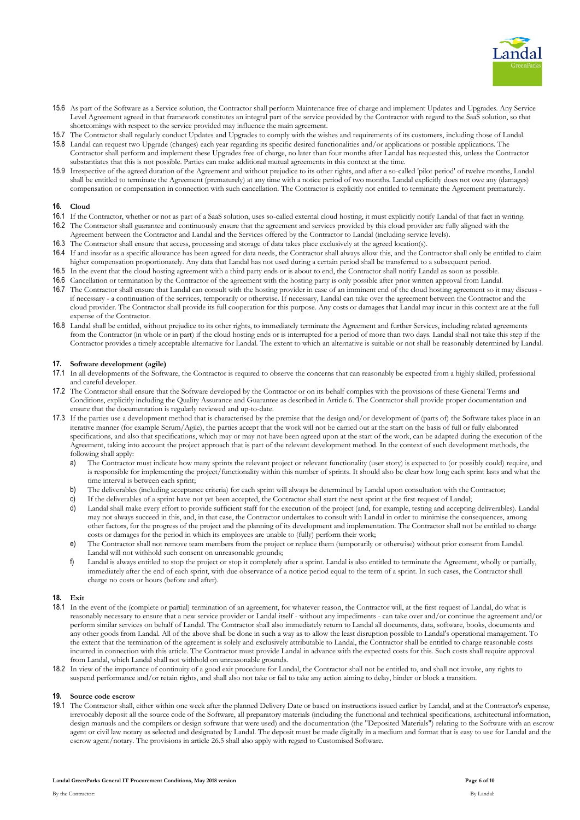

- 15.6 As part of the Software as a Service solution, the Contractor shall perform Maintenance free of charge and implement Updates and Upgrades. Any Service Level Agreement agreed in that framework constitutes an integral part of the service provided by the Contractor with regard to the SaaS solution, so that shortcomings with respect to the service provided may influence the main agreement.
- 15.7 The Contractor shall regularly conduct Updates and Upgrades to comply with the wishes and requirements of its customers, including those of Landal.
- 15.8 Landal can request two Upgrade (changes) each year regarding its specific desired functionalities and/or applications or possible applications. The Contractor shall perform and implement these Upgrades free of charge, no later than four months after Landal has requested this, unless the Contractor substantiates that this is not possible. Parties can make additional mutual agreements in this context at the time.
- 15.9 Irrespective of the agreed duration of the Agreement and without prejudice to its other rights, and after a so-called 'pilot period' of twelve months, Landal shall be entitled to terminate the Agreement (prematurely) at any time with a notice period of two months. Landal explicitly does not owe any (damages) compensation or compensation in connection with such cancellation. The Contractor is explicitly not entitled to terminate the Agreement prematurely.

### **16. Cloud**

- 16.1 If the Contractor, whether or not as part of a SaaS solution, uses so-called external cloud hosting, it must explicitly notify Landal of that fact in writing. 16.2 The Contractor shall guarantee and continuously ensure that the agreement and services provided by this cloud provider are fully aligned with the Agreement between the Contractor and Landal and the Services offered by the Contractor to Landal (including service levels).
- 16.3 The Contractor shall ensure that access, processing and storage of data takes place exclusively at the agreed location(s).
- 16.4 If and insofar as a specific allowance has been agreed for data needs, the Contractor shall always allow this, and the Contractor shall only be entitled to claim higher compensation proportionately. Any data that Landal has not used during a certain period shall be transferred to a subsequent period.
- 16.5 In the event that the cloud hosting agreement with a third party ends or is about to end, the Contractor shall notify Landal as soon as possible.
- 16.6 Cancellation or termination by the Contractor of the agreement with the hosting party is only possible after prior written approval from Landal.
- 16.7 The Contractor shall ensure that Landal can consult with the hosting provider in case of an imminent end of the cloud hosting agreement so it may discuss if necessary - a continuation of the services, temporarily or otherwise. If necessary, Landal can take over the agreement between the Contractor and the cloud provider. The Contractor shall provide its full cooperation for this purpose. Any costs or damages that Landal may incur in this context are at the full expense of the Contractor.
- 16.8 Landal shall be entitled, without prejudice to its other rights, to immediately terminate the Agreement and further Services, including related agreements from the Contractor (in whole or in part) if the cloud hosting ends or is interrupted for a period of more than two days. Landal shall not take this step if the Contractor provides a timely acceptable alternative for Landal. The extent to which an alternative is suitable or not shall be reasonably determined by Landal.

## **17. Software development (agile)**

- 17.1 In all developments of the Software, the Contractor is required to observe the concerns that can reasonably be expected from a highly skilled, professional and careful developer.
- 17.2 The Contractor shall ensure that the Software developed by the Contractor or on its behalf complies with the provisions of these General Terms and Conditions, explicitly including the Quality Assurance and Guarantee as described in Article 6. The Contractor shall provide proper documentation and ensure that the documentation is regularly reviewed and up-to-date.
- 17.3 If the parties use a development method that is characterised by the premise that the design and/or development of (parts of) the Software takes place in an iterative manner (for example Scrum/Agile), the parties accept that the work will not be carried out at the start on the basis of full or fully elaborated specifications, and also that specifications, which may or may not have been agreed upon at the start of the work, can be adapted during the execution of the Agreement, taking into account the project approach that is part of the relevant development method. In the context of such development methods, the following shall apply:
	- a) The Contractor must indicate how many sprints the relevant project or relevant functionality (user story) is expected to (or possibly could) require, and is responsible for implementing the project/functionality within this number of sprints. It should also be clear how long each sprint lasts and what the time interval is between each sprint;
	- b) The deliverables (including acceptance criteria) for each sprint will always be determined by Landal upon consultation with the Contractor;
	- c) If the deliverables of a sprint have not yet been accepted, the Contractor shall start the next sprint at the first request of Landal;
	- Landal shall make every effort to provide sufficient staff for the execution of the project (and, for example, testing and accepting deliverables). Landal may not always succeed in this, and, in that case, the Contractor undertakes to consult with Landal in order to minimise the consequences, among other factors, for the progress of the project and the planning of its development and implementation. The Contractor shall not be entitled to charge costs or damages for the period in which its employees are unable to (fully) perform their work;
	- e) The Contractor shall not remove team members from the project or replace them (temporarily or otherwise) without prior consent from Landal. Landal will not withhold such consent on unreasonable grounds;
	- f) Landal is always entitled to stop the project or stop it completely after a sprint. Landal is also entitled to terminate the Agreement, wholly or partially, immediately after the end of each sprint, with due observance of a notice period equal to the term of a sprint. In such cases, the Contractor shall charge no costs or hours (before and after).

#### **18. Exit**

- 18.1 In the event of the (complete or partial) termination of an agreement, for whatever reason, the Contractor will, at the first request of Landal, do what is reasonably necessary to ensure that a new service provider or Landal itself - without any impediments - can take over and/or continue the agreement and/or perform similar services on behalf of Landal. The Contractor shall also immediately return to Landal all documents, data, software, books, documents and any other goods from Landal. All of the above shall be done in such a way as to allow the least disruption possible to Landal's operational management. To the extent that the termination of the agreement is solely and exclusively attributable to Landal, the Contractor shall be entitled to charge reasonable costs incurred in connection with this article. The Contractor must provide Landal in advance with the expected costs for this. Such costs shall require approval from Landal, which Landal shall not withhold on unreasonable grounds.
- 18.2 In view of the importance of continuity of a good exit procedure for Landal, the Contractor shall not be entitled to, and shall not invoke, any rights to suspend performance and/or retain rights, and shall also not take or fail to take any action aiming to delay, hinder or block a transition.

#### **19. Source code escrow**

19.1 The Contractor shall, either within one week after the planned Delivery Date or based on instructions issued earlier by Landal, and at the Contractor's expense, irrevocably deposit all the source code of the Software, all preparatory materials (including the functional and technical specifications, architectural information, design manuals and the compilers or design software that were used) and the documentation (the "Deposited Materials") relating to the Software with an escrow agent or civil law notary as selected and designated by Landal. The deposit must be made digitally in a medium and format that is easy to use for Landal and the escrow agent/notary. The provisions in article [26.5](#page-8-0) shall also apply with regard to Customised Software.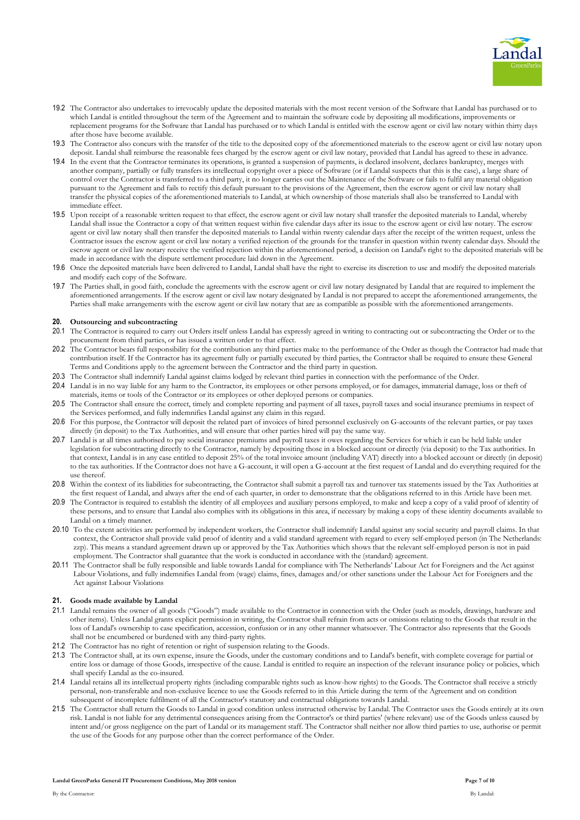

- 19.2 The Contractor also undertakes to irrevocably update the deposited materials with the most recent version of the Software that Landal has purchased or to which Landal is entitled throughout the term of the Agreement and to maintain the software code by depositing all modifications, improvements or replacement programs for the Software that Landal has purchased or to which Landal is entitled with the escrow agent or civil law notary within thirty days after those have become available.
- 19.3 The Contractor also concurs with the transfer of the title to the deposited copy of the aforementioned materials to the escrow agent or civil law notary upon deposit. Landal shall reimburse the reasonable fees charged by the escrow agent or civil law notary, provided that Landal has agreed to these in advance.
- 19.4 In the event that the Contractor terminates its operations, is granted a suspension of payments, is declared insolvent, declares bankruptcy, merges with another company, partially or fully transfers its intellectual copyright over a piece of Software (or if Landal suspects that this is the case), a large share of control over the Contractor is transferred to a third party, it no longer carries out the Maintenance of the Software or fails to fulfil any material obligation pursuant to the Agreement and fails to rectify this default pursuant to the provisions of the Agreement, then the escrow agent or civil law notary shall transfer the physical copies of the aforementioned materials to Landal, at which ownership of those materials shall also be transferred to Landal with immediate effect.
- 19.5 Upon receipt of a reasonable written request to that effect, the escrow agent or civil law notary shall transfer the deposited materials to Landal, whereby Landal shall issue the Contractor a copy of that written request within five calendar days after its issue to the escrow agent or civil law notary. The escrow agent or civil law notary shall then transfer the deposited materials to Landal within twenty calendar days after the receipt of the written request, unless the Contractor issues the escrow agent or civil law notary a verified rejection of the grounds for the transfer in question within twenty calendar days. Should the escrow agent or civil law notary receive the verified rejection within the aforementioned period, a decision on Landal's right to the deposited materials will be made in accordance with the dispute settlement procedure laid down in the Agreement.
- 19.6 Once the deposited materials have been delivered to Landal, Landal shall have the right to exercise its discretion to use and modify the deposited materials and modify each copy of the Software.
- 19.7 The Parties shall, in good faith, conclude the agreements with the escrow agent or civil law notary designated by Landal that are required to implement the aforementioned arrangements. If the escrow agent or civil law notary designated by Landal is not prepared to accept the aforementioned arrangements, the Parties shall make arrangements with the escrow agent or civil law notary that are as compatible as possible with the aforementioned arrangements.

### **20. Outsourcing and subcontracting**

- 20.1 The Contractor is required to carry out Orders itself unless Landal has expressly agreed in writing to contracting out or subcontracting the Order or to the procurement from third parties, or has issued a written order to that effect.
- 20.2 The Contractor bears full responsibility for the contribution any third parties make to the performance of the Order as though the Contractor had made that contribution itself. If the Contractor has its agreement fully or partially executed by third parties, the Contractor shall be required to ensure these General Terms and Conditions apply to the agreement between the Contractor and the third party in question.
- 20.3 The Contractor shall indemnify Landal against claims lodged by relevant third parties in connection with the performance of the Order.
- 20.4 Landal is in no way liable for any harm to the Contractor, its employees or other persons employed, or for damages, immaterial damage, loss or theft of materials, items or tools of the Contractor or its employees or other deployed persons or companies.
- 20.5 The Contractor shall ensure the correct, timely and complete reporting and payment of all taxes, payroll taxes and social insurance premiums in respect of the Services performed, and fully indemnifies Landal against any claim in this regard.
- 20.6 For this purpose, the Contractor will deposit the related part of invoices of hired personnel exclusively on G-accounts of the relevant parties, or pay taxes directly (in deposit) to the Tax Authorities, and will ensure that other parties hired will pay the same way.
- 20.7 Landal is at all times authorised to pay social insurance premiums and payroll taxes it owes regarding the Services for which it can be held liable under legislation for subcontracting directly to the Contractor, namely by depositing those in a blocked account or directly (via deposit) to the Tax authorities. In that context, Landal is in any case entitled to deposit 25% of the total invoice amount (including VAT) directly into a blocked account or directly (in deposit) to the tax authorities. If the Contractor does not have a G-account, it will open a G-account at the first request of Landal and do everything required for the use thereof.
- 20.8 Within the context of its liabilities for subcontracting, the Contractor shall submit a payroll tax and turnover tax statements issued by the Tax Authorities at the first request of Landal, and always after the end of each quarter, in order to demonstrate that the obligations referred to in this Article have been met.
- 20.9 The Contractor is required to establish the identity of all employees and auxiliary persons employed, to make and keep a copy of a valid proof of identity of these persons, and to ensure that Landal also complies with its obligations in this area, if necessary by making a copy of these identity documents available to Landal on a timely manner.
- 20.10 To the extent activities are performed by independent workers, the Contractor shall indemnify Landal against any social security and payroll claims. In that context, the Contractor shall provide valid proof of identity and a valid standard agreement with regard to every self-employed person (in The Netherlands: zzp). This means a standard agreement drawn up or approved by the Tax Authorities which shows that the relevant self-employed person is not in paid employment. The Contractor shall guarantee that the work is conducted in accordance with the (standard) agreement.
- 20.11 The Contractor shall be fully responsible and liable towards Landal for compliance with The Netherlands' Labour Act for Foreigners and the Act against Labour Violations, and fully indemnifies Landal from (wage) claims, fines, damages and/or other sanctions under the Labour Act for Foreigners and the Act against Labour Violations

## **21. Goods made available by Landal**

- 21.1 Landal remains the owner of all goods ("Goods") made available to the Contractor in connection with the Order (such as models, drawings, hardware and other items). Unless Landal grants explicit permission in writing, the Contractor shall refrain from acts or omissions relating to the Goods that result in the loss of Landal's ownership to case specification, accession, confusion or in any other manner whatsoever. The Contractor also represents that the Goods shall not be encumbered or burdened with any third-party rights.
- 21.2 The Contractor has no right of retention or right of suspension relating to the Goods.
- 21.3 The Contractor shall, at its own expense, insure the Goods, under the customary conditions and to Landal's benefit, with complete coverage for partial or entire loss or damage of those Goods, irrespective of the cause. Landal is entitled to require an inspection of the relevant insurance policy or policies, which shall specify Landal as the co-insured.
- 21.4 Landal retains all its intellectual property rights (including comparable rights such as know-how rights) to the Goods. The Contractor shall receive a strictly personal, non-transferable and non-exclusive licence to use the Goods referred to in this Article during the term of the Agreement and on condition subsequent of incomplete fulfilment of all the Contractor's statutory and contractual obligations towards Landal.
- 21.5 The Contractor shall return the Goods to Landal in good condition unless instructed otherwise by Landal. The Contractor uses the Goods entirely at its own risk. Landal is not liable for any detrimental consequences arising from the Contractor's or third parties' (where relevant) use of the Goods unless caused by intent and/or gross negligence on the part of Landal or its management staff. The Contractor shall neither nor allow third parties to use, authorise or permit the use of the Goods for any purpose other than the correct performance of the Order.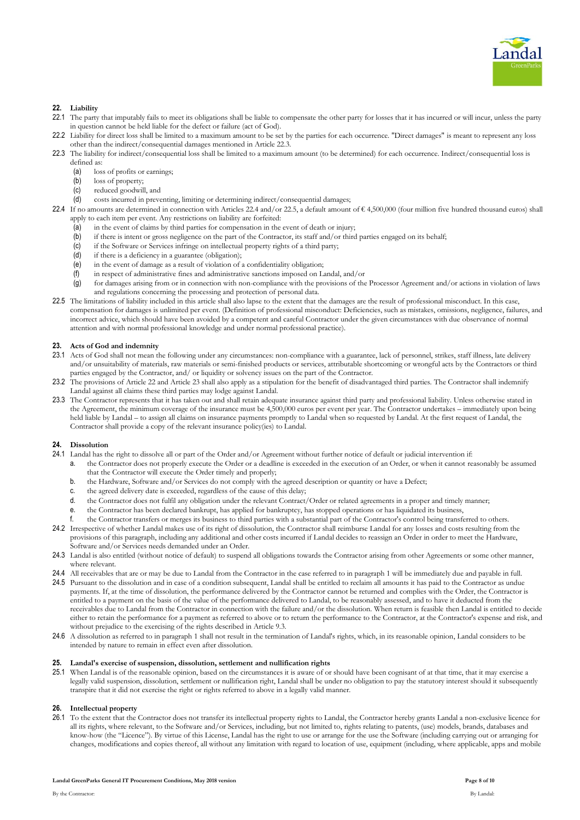

# **22. Liability**

- 22.1 The party that imputably fails to meet its obligations shall be liable to compensate the other party for losses that it has incurred or will incur, unless the party in question cannot be held liable for the defect or failure (act of God).
- 22.2 Liability for direct loss shall be limited to a maximum amount to be set by the parties for each occurrence. "Direct damages" is meant to represent any loss other than the indirect/consequential damages mentioned in Article 22.3.
- 22.3 The liability for indirect/consequential loss shall be limited to a maximum amount (to be determined) for each occurrence. Indirect/consequential loss is defined as:
	- (a) loss of profits or earnings;<br>(b) loss of property:
	- loss of property;
	- (c) reduced goodwill, and
	- (d) costs incurred in preventing, limiting or determining indirect/consequential damages;
- 22.4 If no amounts are determined in connection with Articles 22.4 and/or 22.5, a default amount of € 4,500,000 (four million five hundred thousand euros) shall apply to each item per event. Any restrictions on liability are forfeited:
	- (a) in the event of claims by third parties for compensation in the event of death or injury;
	- (b) if there is intent or gross negligence on the part of the Contractor, its staff and/or third parties engaged on its behalf;
	- (c) if the Software or Services infringe on intellectual property rights of a third party;
	- (d) if there is a deficiency in a guarantee (obligation);
	- (e) in the event of damage as a result of violation of a confidentiality obligation;
	- (f) in respect of administrative fines and administrative sanctions imposed on Landal, and/or
	- (g) for damages arising from or in connection with non-compliance with the provisions of the Processor Agreement and/or actions in violation of laws and regulations concerning the processing and protection of personal data.
- 22.5 The limitations of liability included in this article shall also lapse to the extent that the damages are the result of professional misconduct. In this case, compensation for damages is unlimited per event. (Definition of professional misconduct: Deficiencies, such as mistakes, omissions, negligence, failures, and incorrect advice, which should have been avoided by a competent and careful Contractor under the given circumstances with due observance of normal attention and with normal professional knowledge and under normal professional practice).

## **23. Acts of God and indemnity**

- 23.1 Acts of God shall not mean the following under any circumstances: non-compliance with a guarantee, lack of personnel, strikes, staff illness, late delivery and/or unsuitability of materials, raw materials or semi-finished products or services, attributable shortcoming or wrongful acts by the Contractors or third parties engaged by the Contractor, and/ or liquidity or solvency issues on the part of the Contractor.
- 23.2 The provisions of Article 22 and Article 23 shall also apply as a stipulation for the benefit of disadvantaged third parties. The Contractor shall indemnify Landal against all claims these third parties may lodge against Landal.
- 23.3 The Contractor represents that it has taken out and shall retain adequate insurance against third party and professional liability. Unless otherwise stated in the Agreement, the minimum coverage of the insurance must be 4,500,000 euros per event per year. The Contractor undertakes – immediately upon being held liable by Landal – to assign all claims on insurance payments promptly to Landal when so requested by Landal. At the first request of Landal, the Contractor shall provide a copy of the relevant insurance policy(ies) to Landal.

### **24. Dissolution**

- 24.1 Landal has the right to dissolve all or part of the Order and/or Agreement without further notice of default or judicial intervention if:
	- a. the Contractor does not properly execute the Order or a deadline is exceeded in the execution of an Order, or when it cannot reasonably be assumed that the Contractor will execute the Order timely and properly;
	- b. the Hardware, Software and/or Services do not comply with the agreed description or quantity or have a Defect;
	- c. the agreed delivery date is exceeded, regardless of the cause of this delay;
	- d. the Contractor does not fulfil any obligation under the relevant Contract/Order or related agreements in a proper and timely manner;
	- e. the Contractor has been declared bankrupt, has applied for bankruptcy, has stopped operations or has liquidated its business,
- f. the Contractor transfers or merges its business to third parties with a substantial part of the Contractor's control being transferred to others. 24.2 Irrespective of whether Landal makes use of its right of dissolution, the Contractor shall reimburse Landal for any losses and costs resulting from the provisions of this paragraph, including any additional and other costs incurred if Landal decides to reassign an Order in order to meet the Hardware,
- Software and/or Services needs demanded under an Order. 24.3 Landal is also entitled (without notice of default) to suspend all obligations towards the Contractor arising from other Agreements or some other manner, where relevant.
- 24.4 All receivables that are or may be due to Landal from the Contractor in the case referred to in paragraph 1 will be immediately due and payable in full.
- 24.5 Pursuant to the dissolution and in case of a condition subsequent, Landal shall be entitled to reclaim all amounts it has paid to the Contractor as undue payments. If, at the time of dissolution, the performance delivered by the Contractor cannot be returned and complies with the Order, the Contractor is entitled to a payment on the basis of the value of the performance delivered to Landal, to be reasonably assessed, and to have it deducted from the receivables due to Landal from the Contractor in connection with the failure and/or the dissolution. When return is feasible then Landal is entitled to decide either to retain the performance for a payment as referred to above or to return the performance to the Contractor, at the Contractor's expense and risk, and without prejudice to the exercising of the rights described in Article 9.3.
- 24.6 A dissolution as referred to in paragraph 1 shall not result in the termination of Landal's rights, which, in its reasonable opinion, Landal considers to be intended by nature to remain in effect even after dissolution.

#### **25. Landal's exercise of suspension, dissolution, settlement and nullification rights**

25.1 When Landal is of the reasonable opinion, based on the circumstances it is aware of or should have been cognisant of at that time, that it may exercise a legally valid suspension, dissolution, settlement or nullification right, Landal shall be under no obligation to pay the statutory interest should it subsequently transpire that it did not exercise the right or rights referred to above in a legally valid manner.

# **26. Intellectual property**

26.1 To the extent that the Contractor does not transfer its intellectual property rights to Landal, the Contractor hereby grants Landal a non-exclusive licence for all its rights, where relevant, to the Software and/or Services, including, but not limited to, rights relating to patents, (use) models, brands, databases and know-how (the "Licence"). By virtue of this License, Landal has the right to use or arrange for the use the Software (including carrying out or arranging for changes, modifications and copies thereof, all without any limitation with regard to location of use, equipment (including, where applicable, apps and mobile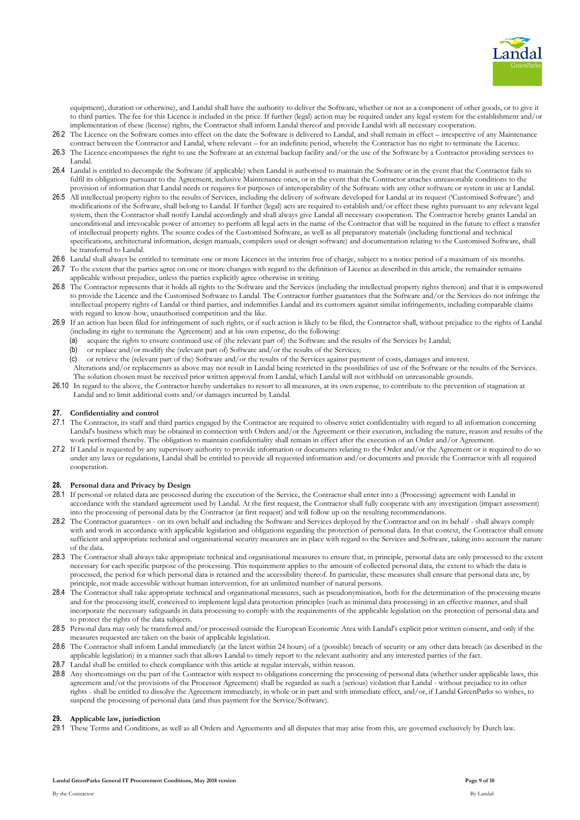

equipment), duration or otherwise), and Landal shall have the authority to deliver the Software, whether or not as a component of other goods, or to give it to third parties. The fee for this Licence is included in the price. If further (legal) action may be required under any legal system for the establishment and/or implementation of these (license) rights, the Contractor shall inform Landal thereof and provide Landal with all necessary cooperation.

- 26.2 The Licence on the Software comes into effect on the date the Software is delivered to Landal, and shall remain in effect irrespective of any Maintenance contract between the Contractor and Landal, where relevant – for an indefinite period, whereby the Contractor has no right to terminate the Licence.
- 26.3 The Licence encompasses the right to use the Software at an external backup facility and/or the use of the Software by a Contractor providing services to Landal.
- 26.4 Landal is entitled to decompile the Software (if applicable) when Landal is authorised to maintain the Software or in the event that the Contractor fails to fulfil its obligations pursuant to the Agreement, inclusive Maintenance ones, or in the event that the Contractor attaches unreasonable conditions to the provision of information that Landal needs or requires for purposes of interoperability of the Software with any other software or system in use at Landal.
- <span id="page-8-0"></span>26.5 All intellectual property rights to the results of Services, including the delivery of software developed for Landal at its request ('Customised Software') and modifications of the Software, shall belong to Landal. If further (legal) acts are required to establish and/or effect these rights pursuant to any relevant legal system, then the Contractor shall notify Landal accordingly and shall always give Landal all necessary cooperation. The Contractor hereby grants Landal an unconditional and irrevocable power of attorney to perform all legal acts in the name of the Contractor that will be required in the future to effect a transfer of intellectual property rights. The source codes of the Customised Software, as well as all preparatory materials (including functional and technical specifications, architectural information, design manuals, compilers used or design software) and documentation relating to the Customised Software, shall be transferred to Landal.
- 26.6 Landal shall always be entitled to terminate one or more Licences in the interim free of charge, subject to a notice period of a maximum of six months.
- 26.7 To the extent that the parties agree on one or more changes with regard to the definition of Licence as described in this article, the remainder remains applicable without prejudice, unless the parties explicitly agree otherwise in writing.
- 26.8 The Contractor represents that it holds all rights to the Software and the Services (including the intellectual property rights thereon) and that it is empowered to provide the Licence and the Customised Software to Landal. The Contractor further guarantees that the Software and/or the Services do not infringe the intellectual property rights of Landal or third parties, and indemnifies Landal and its customers against similar infringements, including comparable claims with regard to know-how, unauthorised competition and the like.
- 26.9 If an action has been filed for infringement of such rights, or if such action is likely to be filed, the Contractor shall, without prejudice to the rights of Landal (including its right to terminate the Agreement) and at his own expense, do the following:
	- (a) acquire the rights to ensure continued use of (the relevant part of) the Software and the results of the Services by Landal;
	- (b) or replace and/or modify the (relevant part of) Software and/or the results of the Services;
	- (c) or retrieve the (relevant part of the) Software and/or the results of the Services against payment of costs, damages and interest. Alterations and/or replacements as above may not result in Landal being restricted in the possibilities of use of the Software or the results of the Services. The solution chosen must be received prior written approval from Landal, which Landal will not withhold on unreasonable grounds.
- 26.10 In regard to the above, the Contractor hereby undertakes to resort to all measures, at its own expense, to contribute to the prevention of stagnation at Landal and to limit additional costs and/or damages incurred by Landal.

## **27. Confidentiality and control**

- 27.1 The Contractor, its staff and third parties engaged by the Contractor are required to observe strict confidentiality with regard to all information concerning Landal's business which may be obtained in connection with Orders and/or the Agreement or their execution, including the nature, reason and results of the work performed thereby. The obligation to maintain confidentiality shall remain in effect after the execution of an Order and/or Agreement.
- 27.2 If Landal is requested by any supervisory authority to provide information or documents relating to the Order and/or the Agreement or is required to do so under any laws or regulations, Landal shall be entitled to provide all requested information and/or documents and provide the Contractor with all required cooperation.

## **28. Personal data and Privacy by Design**

- 28.1 If personal or related data are processed during the execution of the Service, the Contractor shall enter into a (Processing) agreement with Landal in accordance with the standard agreement used by Landal. At the first request, the Contractor shall fully cooperate with any investigation (impact assessment) into the processing of personal data by the Contractor (at first request) and will follow up on the resulting recommendations.
- 28.2 The Contractor guarantees on its own behalf and including the Software and Services deployed by the Contractor and on its behalf shall always comply with and work in accordance with applicable legislation and obligations regarding the protection of personal data. In that context, the Contractor shall ensure sufficient and appropriate technical and organisational security measures are in place with regard to the Services and Software, taking into account the nature of the data.
- 28.3 The Contractor shall always take appropriate technical and organisational measures to ensure that, in principle, personal data are only processed to the extent necessary for each specific purpose of the processing. This requirement applies to the amount of collected personal data, the extent to which the data is processed, the period for which personal data is retained and the accessibility thereof. In particular, these measures shall ensure that personal data are, by principle, not made accessible without human intervention, for an unlimited number of natural persons.
- 28.4 The Contractor shall take appropriate technical and organisational measures, such as pseudonymisation, both for the determination of the processing means and for the processing itself, conceived to implement legal data protection principles (such as minimal data processing) in an effective manner, and shall incorporate the necessary safeguards in data processing to comply with the requirements of the applicable legislation on the protection of personal data and to protect the rights of the data subjects.
- 28.5 Personal data may only be transferred and/or processed outside the European Economic Area with Landal's explicit prior written consent, and only if the measures requested are taken on the basis of applicable legislation.
- 28.6 The Contractor shall inform Landal immediately (at the latest within 24 hours) of a (possible) breach of security or any other data breach (as described in the applicable legislation) in a manner such that allows Landal to timely report to the relevant authority and any interested parties of the fact.
- 28.7 Landal shall be entitled to check compliance with this article at regular intervals, within reason.
- 28.8 Any shortcomings on the part of the Contractor with respect to obligations concerning the processing of personal data (whether under applicable laws, this agreement and/or the provisions of the Processor Agreement) shall be regarded as such a (serious) violation that Landal - without prejudice to its other rights - shall be entitled to dissolve the Agreement immediately, in whole or in part and with immediate effect, and/or, if Landal GreenParks so wishes, to suspend the processing of personal data (and thus payment for the Service/Software).

# **29. Applicable law, jurisdiction**

29.1 These Terms and Conditions, as well as all Orders and Agreements and all disputes that may arise from this, are governed exclusively by Dutch law.